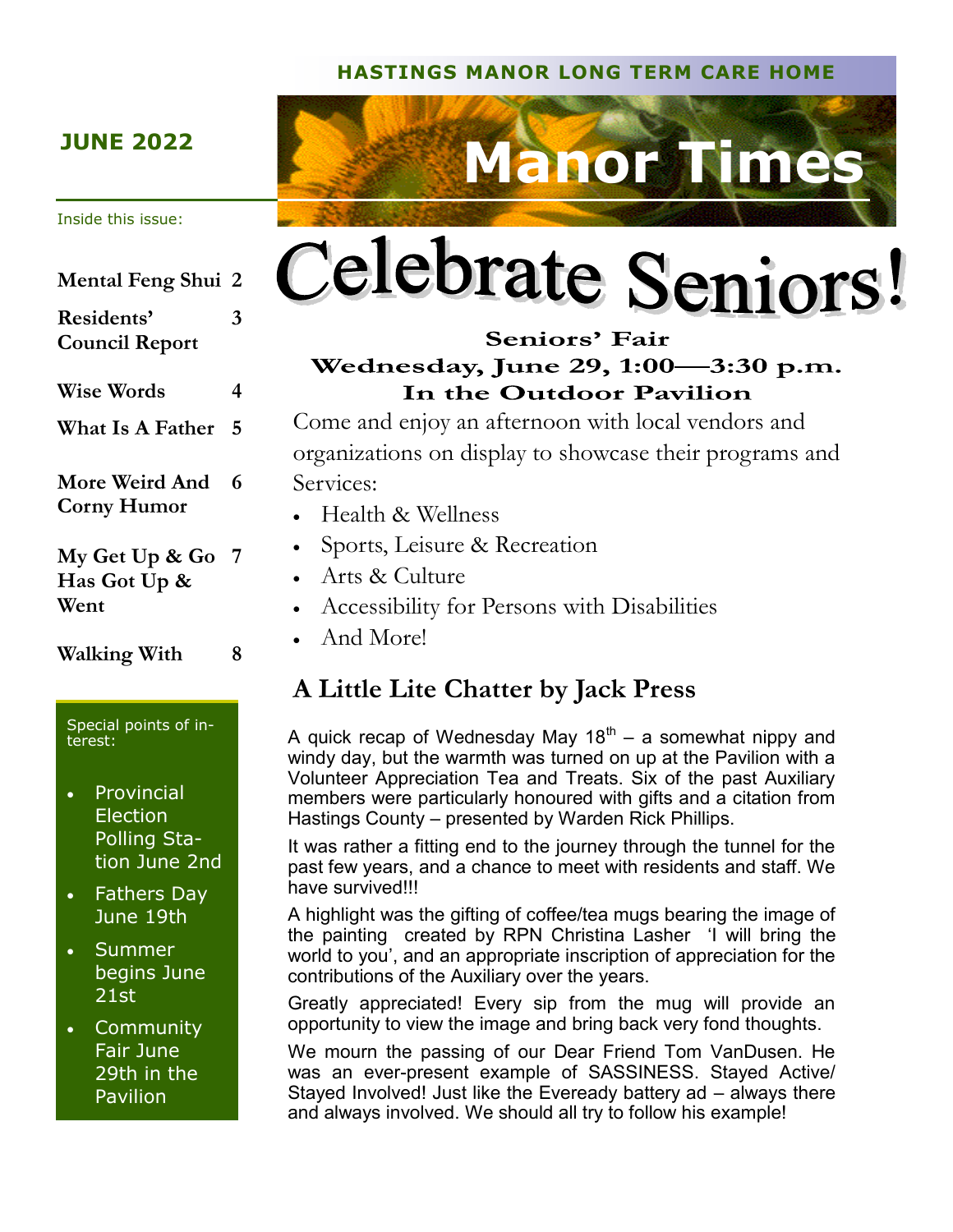#### **HASTINGS MANOR LONG TERM CARE HOME**

#### **JUNE 2022**

#### Inside this issue:

# **Mental Feng Shui 2 Residents' Council Report 3 Wise Words 4 What Is A Father 5 More Weird And 6 Corny Humor My Get Up & Go 7**

**Has Got Up & Went**

**Walking With 8**

Special points of interest:

- **Provincial** Election Polling Station June 2nd
- Fathers Day June 19th
- Summer begins June 21st

• Community Fair June 29th in the Pavilion



# Celebrate Seniors!

#### Seniors' Fair Wednesday, June 29, 1:00-3:30 p.m. In the Outdoor Pavilion

Come and enjoy an afternoon with local vendors and organizations on display to showcase their programs and Services:

- Health & Wellness
- Sports, Leisure & Recreation
- Arts & Culture
- Accessibility for Persons with Disabilities
- And More!

## **A Little Lite Chatter by Jack Press**

A quick recap of Wednesday May 18 $^{\text{th}}$  – a somewhat nippy and windy day, but the warmth was turned on up at the Pavilion with a Volunteer Appreciation Tea and Treats. Six of the past Auxiliary members were particularly honoured with gifts and a citation from Hastings County – presented by Warden Rick Phillips.

It was rather a fitting end to the journey through the tunnel for the past few years, and a chance to meet with residents and staff. We have survived!!!

A highlight was the gifting of coffee/tea mugs bearing the image of the painting created by RPN Christina Lasher 'I will bring the world to you', and an appropriate inscription of appreciation for the contributions of the Auxiliary over the years.

Greatly appreciated! Every sip from the mug will provide an opportunity to view the image and bring back very fond thoughts.

We mourn the passing of our Dear Friend Tom VanDusen. He was an ever-present example of SASSINESS. Stayed Active/ Stayed Involved! Just like the Eveready battery ad – always there and always involved. We should all try to follow his example!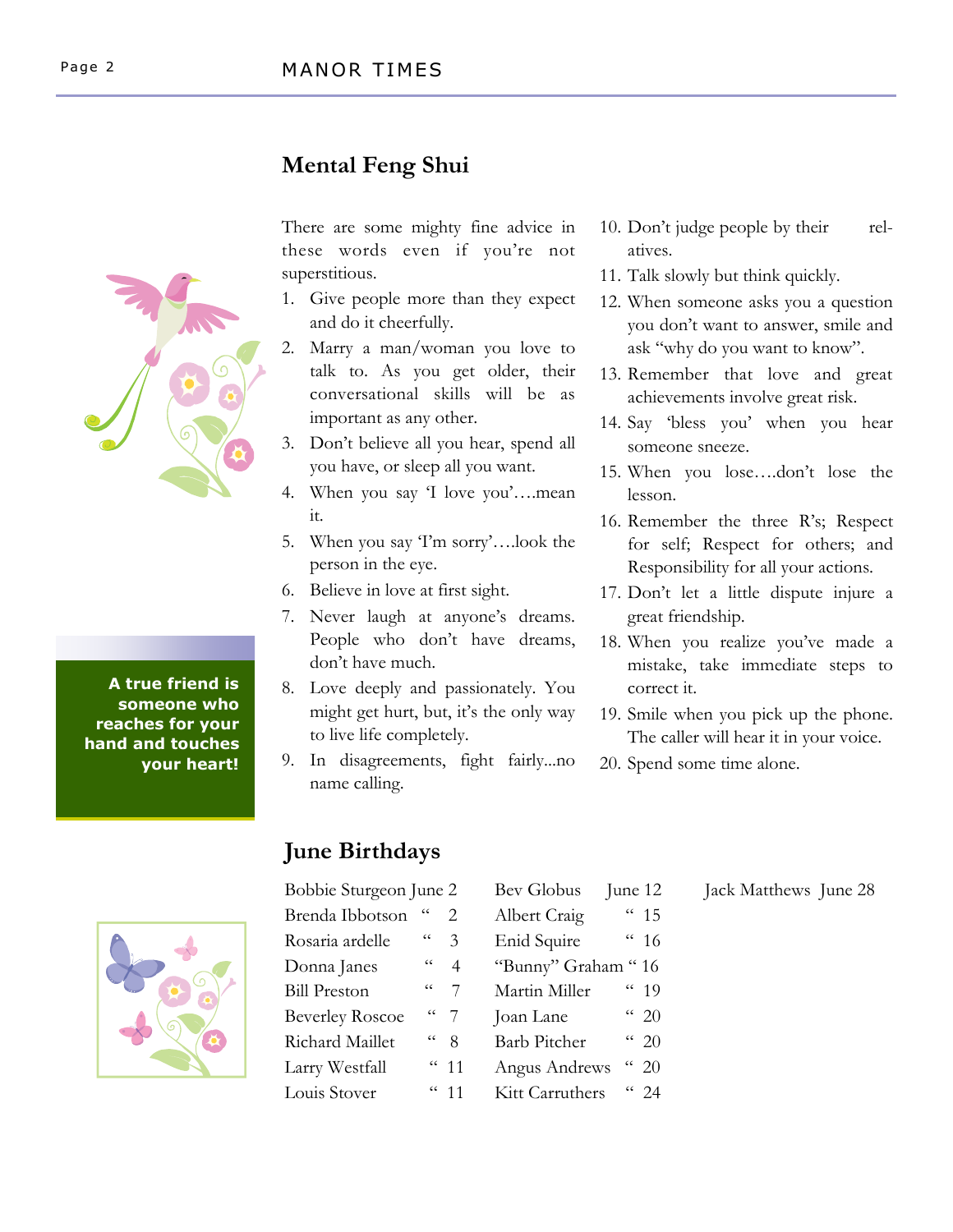## **Mental Feng Shui**

**A true friend is someone who reaches for your hand and touches your heart!**



There are some mighty fine advice in these words even if you're not superstitious.

- 1. Give people more than they expect and do it cheerfully.
- 2. Marry a man/woman you love to talk to. As you get older, their conversational skills will be as important as any other.
- 3. Don't believe all you hear, spend all you have, or sleep all you want.
- 4. When you say 'I love you'….mean it.
- 5. When you say 'I'm sorry'….look the person in the eye.
- 6. Believe in love at first sight.
- 7. Never laugh at anyone's dreams. People who don't have dreams, don't have much.
- 8. Love deeply and passionately. You might get hurt, but, it's the only way to live life completely.
- 9. In disagreements, fight fairly...no name calling.

# **June Birthdays**

| Bobbie Sturgeon June 2 |                |                       | Bev Globus          | June 12         |
|------------------------|----------------|-----------------------|---------------------|-----------------|
| Brenda Ibbotson        | $\epsilon$     | $\mathcal{D}_{\cdot}$ | Albert Craig        | $\frac{15}{15}$ |
| Rosaria ardelle        | $\zeta\,\zeta$ | 3                     | Enid Squire         | 46              |
| Donna Janes            | $\zeta\,\zeta$ | 4                     | "Bunny" Graham "16  |                 |
| <b>Bill Preston</b>    | $\epsilon$     | 7                     | Martin Miller       | $\frac{10}{19}$ |
| <b>Beverley Roscoe</b> |                | $\frac{1}{2}$         | Joan Lane           | $\frac{1}{20}$  |
| Richard Maillet        | $\epsilon$     | 8                     | <b>Barb Pitcher</b> | 4420            |
| Larry Westfall         |                | $\frac{11}{11}$       | Angus Andrews       | (20)            |
| Louis Stover           |                | (11)                  | Kitt Carruthers     | $(1)$ 2.4       |

- 10. Don't judge people by their relatives.
- 11. Talk slowly but think quickly.
- 12. When someone asks you a question you don't want to answer, smile and ask "why do you want to know".
- 13. Remember that love and great achievements involve great risk.
- 14. Say 'bless you' when you hear someone sneeze.
- 15. When you lose….don't lose the lesson.
- 16. Remember the three R's; Respect for self; Respect for others; and Responsibility for all your actions.
- 17. Don't let a little dispute injure a great friendship.
- 18. When you realize you've made a mistake, take immediate steps to correct it.
- 19. Smile when you pick up the phone. The caller will hear it in your voice.

Jack Matthews June 28

20. Spend some time alone.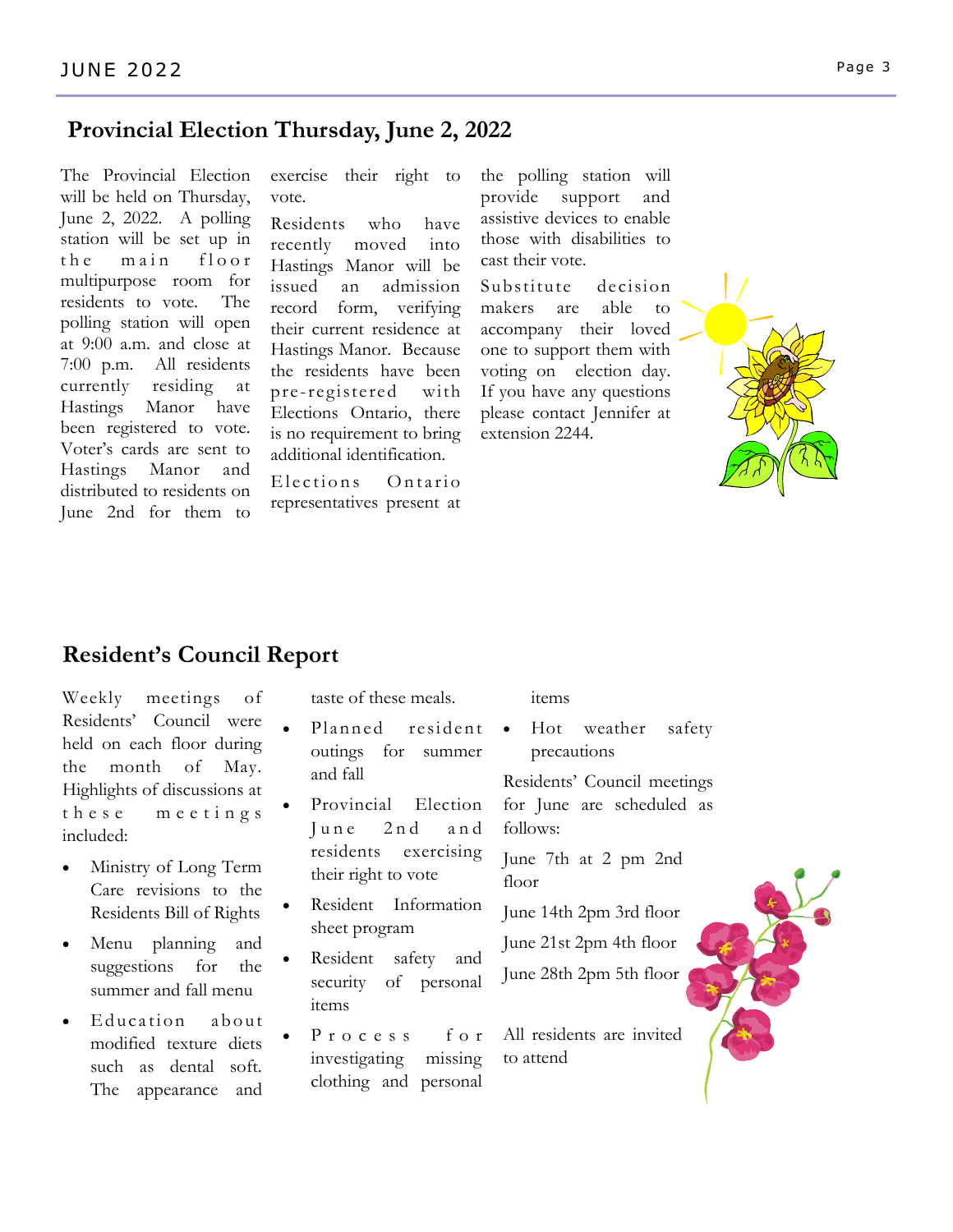#### **Provincial Election Thursday, June 2, 2022**

The Provincial Election will be held on Thursday, June 2, 2022. A polling station will be set up in the main floor multipurpose room for residents to vote. The polling station will open at 9:00 a.m. and close at 7:00 p.m. All residents currently residing at Hastings Manor have been registered to vote. Voter's cards are sent to Hastings Manor and distributed to residents on June 2nd for them to

exercise their right to vote.

Residents who have recently moved into Hastings Manor will be issued an admission record form, verifying their current residence at Hastings Manor. Because the residents have been pre -registered with Elections Ontario, there is no requirement to bring additional identification.

Elections Ontario representatives present at the polling station will provide support and assistive devices to enable those with disabilities to cast their vote.

Substitute decision makers are able to accompany their loved one to support them with voting on election day. If you have any questions please contact Jennifer at extension 2244.



#### **Resident's Council Report**

Weekly meetings of Residents' Council were held on each floor during the month of May. Highlights of discussions at these meetings included:

- Ministry of Long Term Care revisions to the Residents Bill of Rights
- Menu planning and suggestions for the summer and fall menu
- Education about modified texture diets such as dental soft. The appearance and

taste of these meals.

- Planned resident outings for summer and fall
- Provincial Election June 2nd and residents exercising their right to vote
- Resident Information sheet program
- Resident safety and security of personal items
- Process for investigating missing clothing and personal

items

Hot weather safety precautions

Residents' Council meetings for June are scheduled as follows:

June 7th at 2 pm 2nd floor

June 14th 2pm 3rd floor

June 21st 2pm 4th floor

June 28th 2pm 5th floor

All residents are invited to attend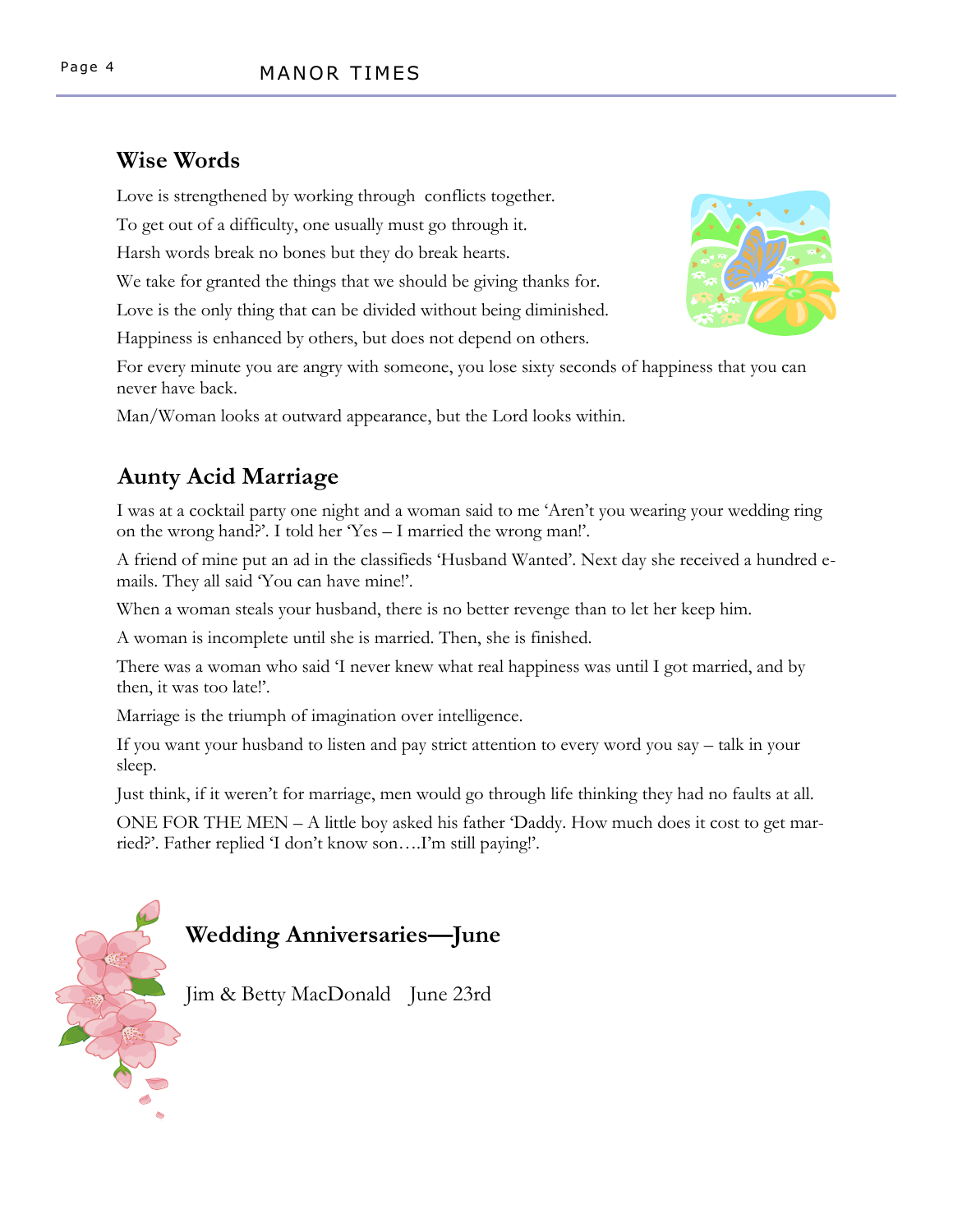## **Wise Words**

Love is strengthened by working through conflicts together.

To get out of a difficulty, one usually must go through it.

Harsh words break no bones but they do break hearts.

We take for granted the things that we should be giving thanks for.

Love is the only thing that can be divided without being diminished.

Happiness is enhanced by others, but does not depend on others.

For every minute you are angry with someone, you lose sixty seconds of happiness that you can never have back.

Man/Woman looks at outward appearance, but the Lord looks within.

# **Aunty Acid Marriage**

I was at a cocktail party one night and a woman said to me 'Aren't you wearing your wedding ring on the wrong hand?'. I told her 'Yes – I married the wrong man!'.

A friend of mine put an ad in the classifieds 'Husband Wanted'. Next day she received a hundred emails. They all said 'You can have mine!'.

When a woman steals your husband, there is no better revenge than to let her keep him.

A woman is incomplete until she is married. Then, she is finished.

There was a woman who said 'I never knew what real happiness was until I got married, and by then, it was too late!'.

Marriage is the triumph of imagination over intelligence.

If you want your husband to listen and pay strict attention to every word you say – talk in your sleep.

Just think, if it weren't for marriage, men would go through life thinking they had no faults at all.

ONE FOR THE MEN – A little boy asked his father 'Daddy. How much does it cost to get married?'. Father replied 'I don't know son….I'm still paying!'.

# **Wedding Anniversaries—June**

Jim & Betty MacDonald June 23rd



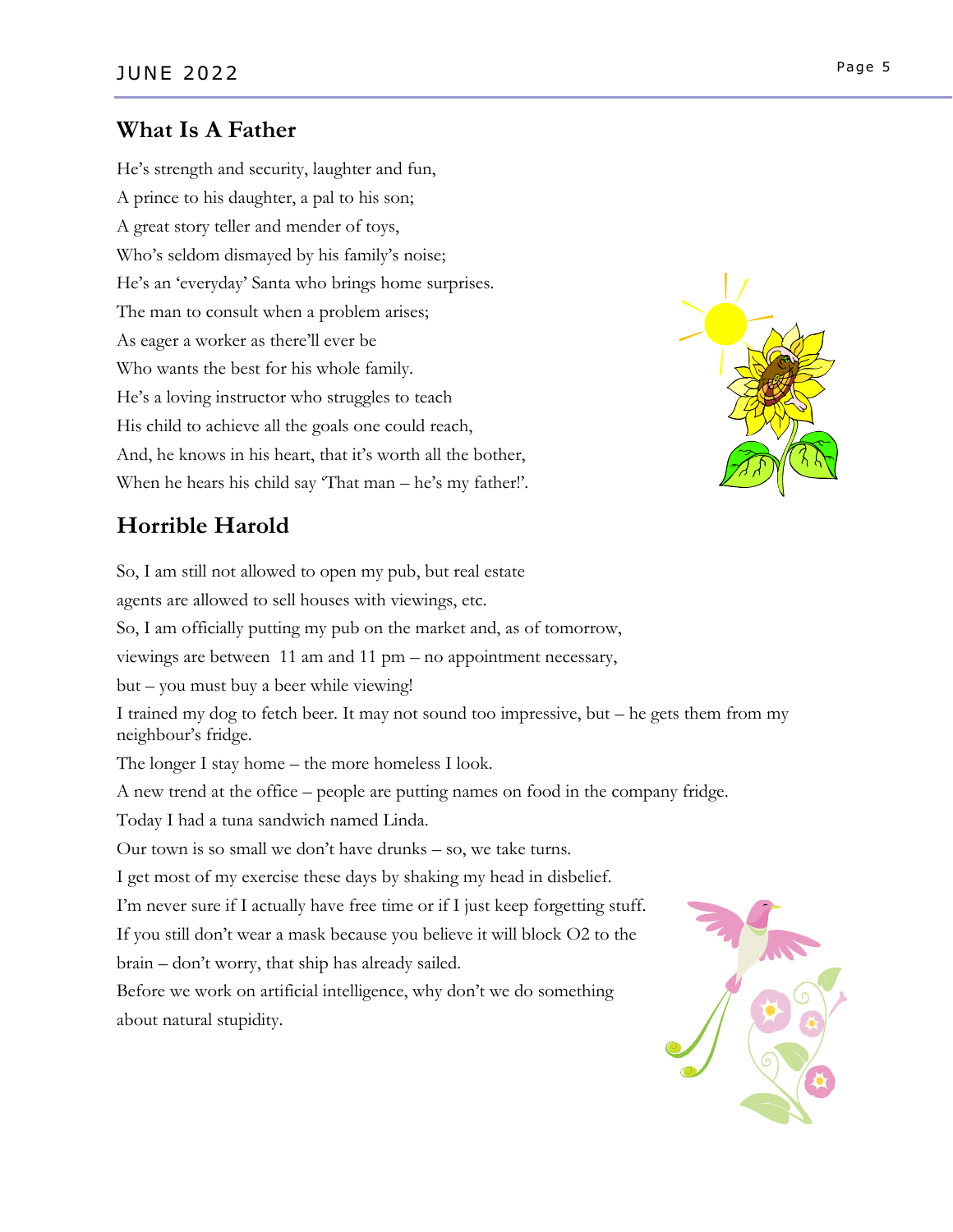#### **What Is A Father**

He's strength and security, laughter and fun, A prince to his daughter, a pal to his son; A great story teller and mender of toys, Who's seldom dismayed by his family's noise; He's an 'everyday' Santa who brings home surprises. The man to consult when a problem arises; As eager a worker as there'll ever be Who wants the best for his whole family. He's a loving instructor who struggles to teach His child to achieve all the goals one could reach, And, he knows in his heart, that it's worth all the bother, When he hears his child say 'That man – he's my father!'.



## **Horrible Harold**

So, I am still not allowed to open my pub, but real estate agents are allowed to sell houses with viewings, etc. So, I am officially putting my pub on the market and, as of tomorrow, viewings are between 11 am and 11 pm – no appointment necessary, but – you must buy a beer while viewing! I trained my dog to fetch beer. It may not sound too impressive, but – he gets them from my neighbour's fridge. The longer I stay home – the more homeless I look. A new trend at the office – people are putting names on food in the company fridge. Today I had a tuna sandwich named Linda. Our town is so small we don't have drunks – so, we take turns. I get most of my exercise these days by shaking my head in disbelief. I'm never sure if I actually have free time or if I just keep forgetting stuff. If you still don't wear a mask because you believe it will block O2 to the brain – don't worry, that ship has already sailed. Before we work on artificial intelligence, why don't we do something about natural stupidity.

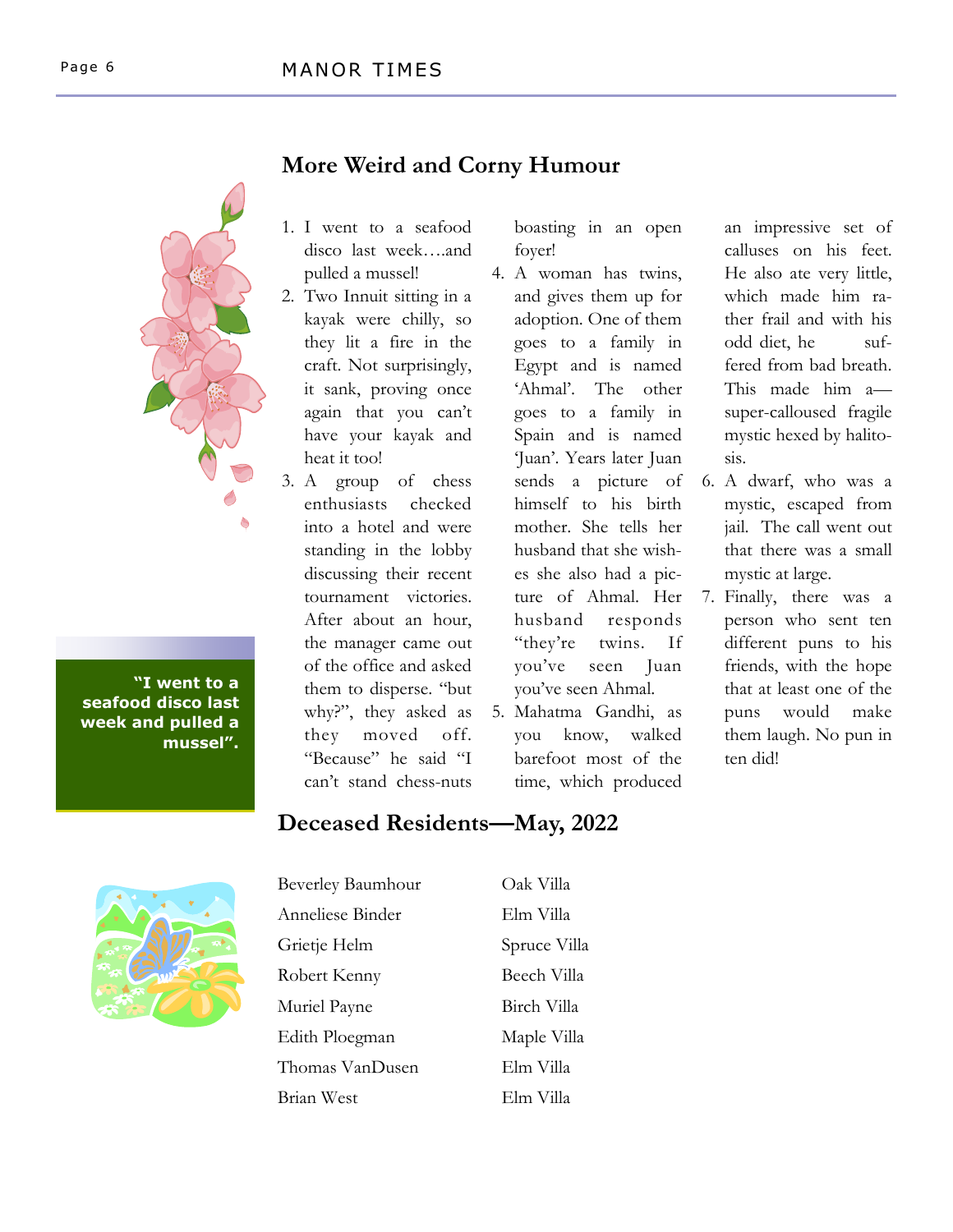

**"I went to a seafood disco last week and pulled a mussel".**

## **More Weird and Corny Humour**

- 1. I went to a seafood disco last week….and pulled a mussel!
- 2. Two Innuit sitting in a kayak were chilly, so they lit a fire in the craft. Not surprisingly, it sank, proving once again that you can't have your kayak and heat it too!
- 3. A group of chess enthusiasts checked into a hotel and were standing in the lobby discussing their recent tournament victories. After about an hour, the manager came out of the office and asked them to disperse. "but why?", they asked as they moved off. "Because" he said "I can't stand chess-nuts

boasting in an open foyer!

- 4. A woman has twins, and gives them up for adoption. One of them goes to a family in Egypt and is named 'Ahmal'. The other goes to a family in Spain and is named 'Juan'. Years later Juan sends a picture of himself to his birth mother. She tells her husband that she wishes she also had a picture of Ahmal. Her husband responds "they're twins. If you've seen Juan you've seen Ahmal.
- 5. Mahatma Gandhi, as you know, walked barefoot most of the time, which produced

an impressive set of calluses on his feet. He also ate very little, which made him rather frail and with his odd diet, he suffered from bad breath. This made him a super-calloused fragile mystic hexed by halitosis.

- 6. A dwarf, who was a mystic, escaped from jail. The call went out that there was a small mystic at large.
- 7. Finally, there was a person who sent ten different puns to his friends, with the hope that at least one of the puns would make them laugh. No pun in ten did!

## **Deceased Residents—May, 2022**



Beverley Baumhour Oak Villa Anneliese Binder Elm Villa Grietje Helm Spruce Villa Robert Kenny Beech Villa Muriel Payne Birch Villa Edith Ploegman Maple Villa Thomas VanDusen Elm Villa Brian West Elm Villa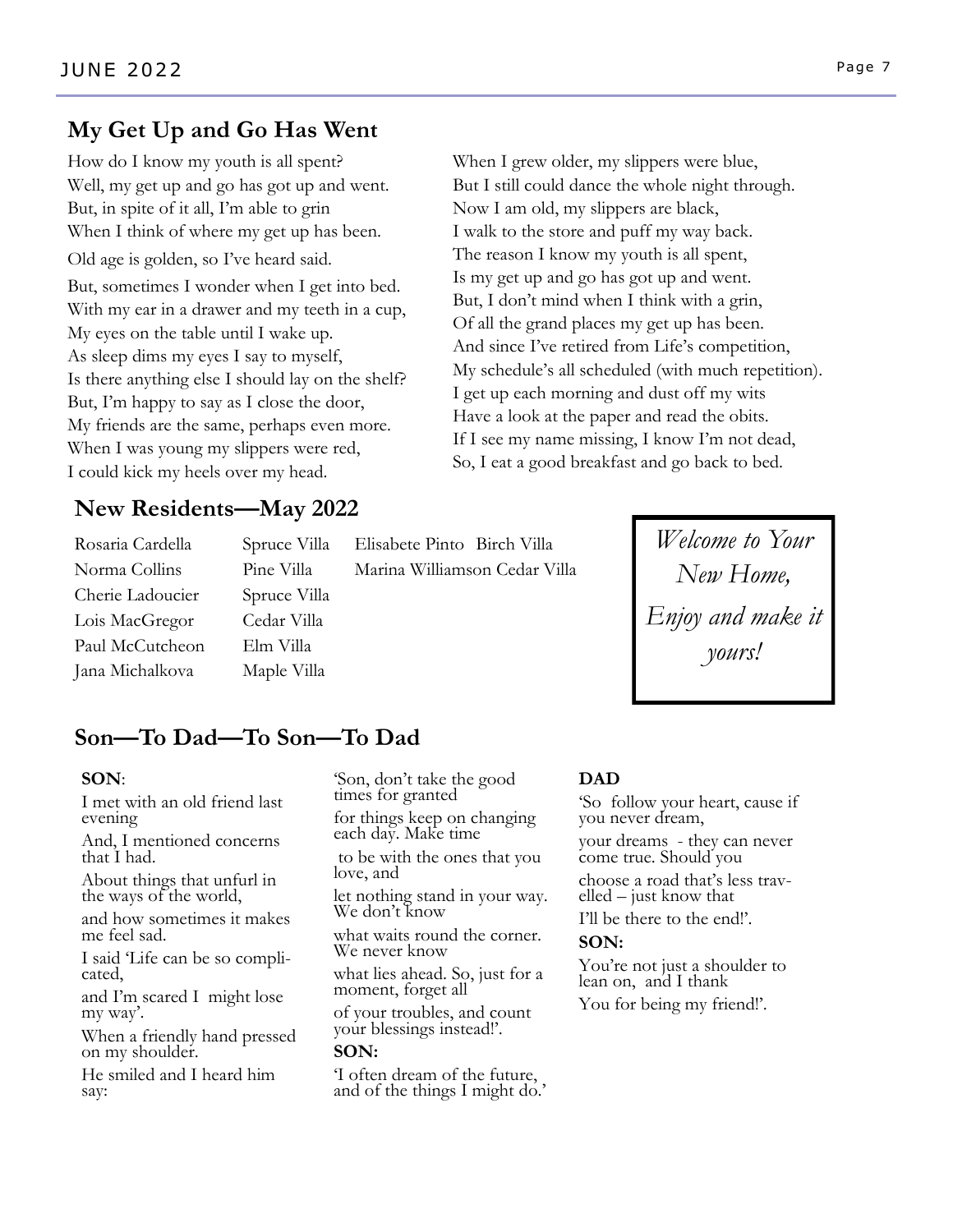## **My Get Up and Go Has Went**

How do I know my youth is all spent? Well, my get up and go has got up and went. But, in spite of it all, I'm able to grin When I think of where my get up has been. Old age is golden, so I've heard said. But, sometimes I wonder when I get into bed. With my ear in a drawer and my teeth in a cup, My eyes on the table until I wake up. As sleep dims my eyes I say to myself, Is there anything else I should lay on the shelf? But, I'm happy to say as I close the door, My friends are the same, perhaps even more. When I was young my slippers were red, I could kick my heels over my head.

#### **New Residents—May 2022**

Cherie Ladoucier Spruce Villa Lois MacGregor Cedar Villa Paul McCutcheon Elm Villa Jana Michalkova Maple Villa

Rosaria Cardella Spruce Villa Elisabete Pinto Birch Villa Norma Collins Pine Villa Marina Williamson Cedar Villa

When I grew older, my slippers were blue, But I still could dance the whole night through. Now I am old, my slippers are black, I walk to the store and puff my way back. The reason I know my youth is all spent, Is my get up and go has got up and went. But, I don't mind when I think with a grin, Of all the grand places my get up has been. And since I've retired from Life's competition, My schedule's all scheduled (with much repetition). I get up each morning and dust off my wits Have a look at the paper and read the obits. If I see my name missing, I know I'm not dead, So, I eat a good breakfast and go back to bed.

> *Welcome to Your New Home, Enjoy and make it yours!*

## **Son—To Dad—To Son—To Dad**

#### **SON**:

I met with an old friend last evening

And, I mentioned concerns that I had.

About things that unfurl in the ways of the world,

and how sometimes it makes me feel sad.

I said 'Life can be so complicated,

and I'm scared I might lose my way'.

When a friendly hand pressed on my shoulder.

He smiled and I heard him say:

'Son, don't take the good times for granted for things keep on changing each day. Make time to be with the ones that you love, and

let nothing stand in your way. We don't know

what waits round the corner. We never know

what lies ahead. So, just for a moment, forget all

of your troubles, and count your blessings instead!'.

#### **SON:**

'I often dream of the future, and of the things I might do.'

#### **DAD**

'So follow your heart, cause if you never dream,

your dreams - they can never come true. Should you

choose a road that's less travelled – just know that

I'll be there to the end!'.

#### **SON:**

You're not just a shoulder to lean on, and I thank You for being my friend!'.